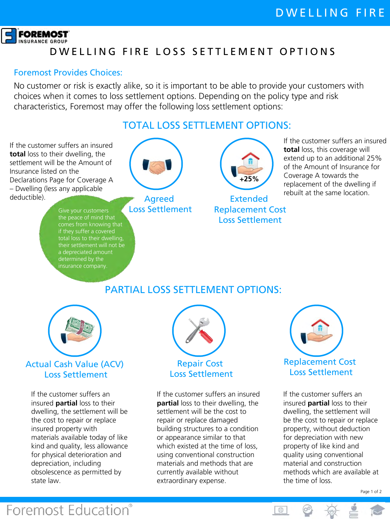

# D W ELLING FIRE LOSS SETTLEMENT OPTIONS

#### Foremost Provides Choices:

No customer or risk is exactly alike, so it is important to be able to provide your customers with choices when it comes to loss settlement options. Depending on the policy type and risk characteristics, Foremost may offer the following loss settlement options:

#### TOTAL LOSS SETTI EMENT OPTIONS:

If the customer suffers an insured **total** loss to their dwelling, the settlement will be the Amount of Insurance listed on the Declarations Page for Coverage A – Dwelling (less any applicable deductible).

> the peace of mind that total loss to their dwelling, determined by the insurance company.



Agreed Loss Settlement



Extended Replacement Cost Loss Settlement

If the customer suffers an insured **total** loss, this coverage will extend up to an additional 25% of the Amount of Insurance for Coverage A towards the replacement of the dwelling if rebuilt at the same location.

## PARTIAL LOSS SETTLEMENT OPTIONS:



#### Actual Cash Value (ACV) Loss Settlement

If the customer suffers an insured **partial** loss to their dwelling, the settlement will be the cost to repair or replace insured property with materials available today of like kind and quality, less allowance for physical deterioration and depreciation, including obsolescence as permitted by state law.

**Foremost Education®** 



# Loss Settlement

If the customer suffers an insured **partial** loss to their dwelling, the settlement will be the cost to repair or replace damaged building structures to a condition or appearance similar to that which existed at the time of loss, using conventional construction materials and methods that are currently available without extraordinary expense.



If the customer suffers an insured **partial** loss to their dwelling, the settlement will be the cost to repair or replace property, without deduction for depreciation with new property of like kind and quality using conventional material and construction methods which are available at the time of loss.

1⊕

Page 1 of 2